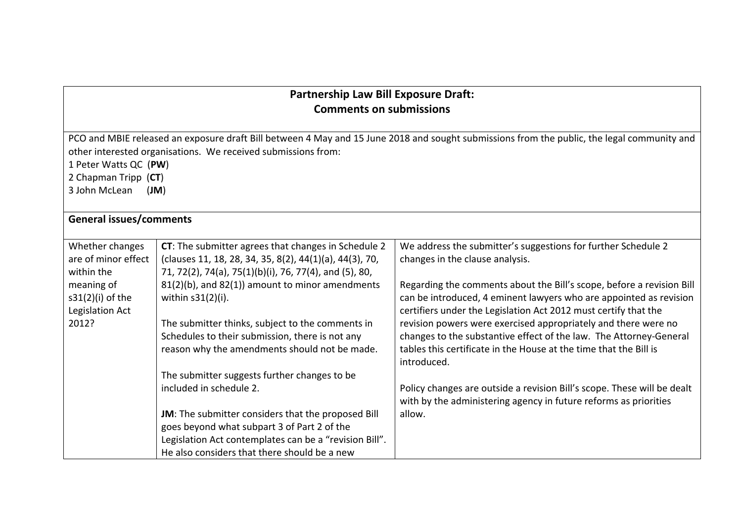## **Partnership Law Bill Exposure Draft: Comments on submissions**

| PCO and MBIE released an exposure draft Bill between 4 May and 15 June 2018 and sought submissions from the public, the legal community and |                                                         |                                                                         |  |
|---------------------------------------------------------------------------------------------------------------------------------------------|---------------------------------------------------------|-------------------------------------------------------------------------|--|
| other interested organisations. We received submissions from:                                                                               |                                                         |                                                                         |  |
| 1 Peter Watts QC (PW)                                                                                                                       |                                                         |                                                                         |  |
| 2 Chapman Tripp (CT)                                                                                                                        |                                                         |                                                                         |  |
| 3 John McLean<br>J(M)                                                                                                                       |                                                         |                                                                         |  |
|                                                                                                                                             |                                                         |                                                                         |  |
| <b>General issues/comments</b>                                                                                                              |                                                         |                                                                         |  |
|                                                                                                                                             |                                                         |                                                                         |  |
| Whether changes                                                                                                                             | CT: The submitter agrees that changes in Schedule 2     | We address the submitter's suggestions for further Schedule 2           |  |
| are of minor effect                                                                                                                         | (clauses 11, 18, 28, 34, 35, 8(2), 44(1)(a), 44(3), 70, | changes in the clause analysis.                                         |  |
|                                                                                                                                             |                                                         |                                                                         |  |
| within the                                                                                                                                  | 71, 72(2), 74(a), 75(1)(b)(i), 76, 77(4), and (5), 80,  |                                                                         |  |
| meaning of                                                                                                                                  | 81(2)(b), and 82(1)) amount to minor amendments         | Regarding the comments about the Bill's scope, before a revision Bill   |  |
| s31(2)(i) of the                                                                                                                            | within $s31(2)(i)$ .                                    | can be introduced, 4 eminent lawyers who are appointed as revision      |  |
| Legislation Act                                                                                                                             |                                                         | certifiers under the Legislation Act 2012 must certify that the         |  |
| 2012?                                                                                                                                       | The submitter thinks, subject to the comments in        | revision powers were exercised appropriately and there were no          |  |
|                                                                                                                                             | Schedules to their submission, there is not any         | changes to the substantive effect of the law. The Attorney-General      |  |
|                                                                                                                                             | reason why the amendments should not be made.           | tables this certificate in the House at the time that the Bill is       |  |
|                                                                                                                                             |                                                         | introduced.                                                             |  |
|                                                                                                                                             | The submitter suggests further changes to be            |                                                                         |  |
|                                                                                                                                             | included in schedule 2.                                 | Policy changes are outside a revision Bill's scope. These will be dealt |  |
|                                                                                                                                             |                                                         | with by the administering agency in future reforms as priorities        |  |
|                                                                                                                                             | JM: The submitter considers that the proposed Bill      | allow.                                                                  |  |
|                                                                                                                                             | goes beyond what subpart 3 of Part 2 of the             |                                                                         |  |
|                                                                                                                                             | Legislation Act contemplates can be a "revision Bill".  |                                                                         |  |
|                                                                                                                                             | He also considers that there should be a new            |                                                                         |  |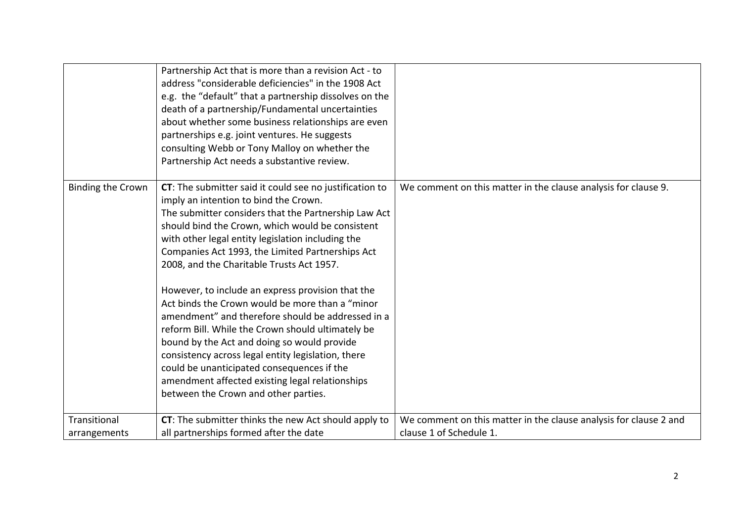|                          | Partnership Act that is more than a revision Act - to<br>address "considerable deficiencies" in the 1908 Act<br>e.g. the "default" that a partnership dissolves on the<br>death of a partnership/Fundamental uncertainties<br>about whether some business relationships are even<br>partnerships e.g. joint ventures. He suggests<br>consulting Webb or Tony Malloy on whether the<br>Partnership Act needs a substantive review.                                                                                                                                                                                                                                                                                                                                                                                                  |                                                                   |
|--------------------------|------------------------------------------------------------------------------------------------------------------------------------------------------------------------------------------------------------------------------------------------------------------------------------------------------------------------------------------------------------------------------------------------------------------------------------------------------------------------------------------------------------------------------------------------------------------------------------------------------------------------------------------------------------------------------------------------------------------------------------------------------------------------------------------------------------------------------------|-------------------------------------------------------------------|
| <b>Binding the Crown</b> | CT: The submitter said it could see no justification to<br>imply an intention to bind the Crown.<br>The submitter considers that the Partnership Law Act<br>should bind the Crown, which would be consistent<br>with other legal entity legislation including the<br>Companies Act 1993, the Limited Partnerships Act<br>2008, and the Charitable Trusts Act 1957.<br>However, to include an express provision that the<br>Act binds the Crown would be more than a "minor<br>amendment" and therefore should be addressed in a<br>reform Bill. While the Crown should ultimately be<br>bound by the Act and doing so would provide<br>consistency across legal entity legislation, there<br>could be unanticipated consequences if the<br>amendment affected existing legal relationships<br>between the Crown and other parties. | We comment on this matter in the clause analysis for clause 9.    |
| Transitional             | CT: The submitter thinks the new Act should apply to                                                                                                                                                                                                                                                                                                                                                                                                                                                                                                                                                                                                                                                                                                                                                                               | We comment on this matter in the clause analysis for clause 2 and |
| arrangements             | all partnerships formed after the date                                                                                                                                                                                                                                                                                                                                                                                                                                                                                                                                                                                                                                                                                                                                                                                             | clause 1 of Schedule 1.                                           |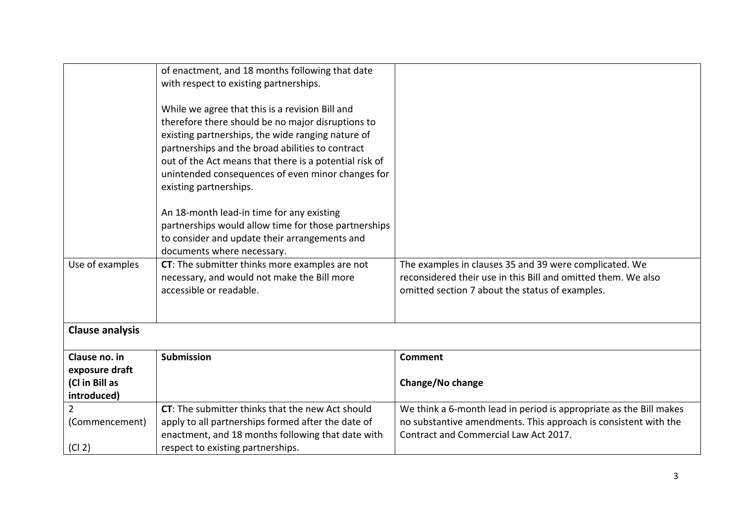|                                  | of enactment, and 18 months following that date                                                             |                                                                                                                         |
|----------------------------------|-------------------------------------------------------------------------------------------------------------|-------------------------------------------------------------------------------------------------------------------------|
|                                  | with respect to existing partnerships.                                                                      |                                                                                                                         |
|                                  | While we agree that this is a revision Bill and                                                             |                                                                                                                         |
|                                  | therefore there should be no major disruptions to                                                           |                                                                                                                         |
|                                  | existing partnerships, the wide ranging nature of                                                           |                                                                                                                         |
|                                  | partnerships and the broad abilities to contract                                                            |                                                                                                                         |
|                                  | out of the Act means that there is a potential risk of<br>unintended consequences of even minor changes for |                                                                                                                         |
|                                  | existing partnerships.                                                                                      |                                                                                                                         |
|                                  |                                                                                                             |                                                                                                                         |
|                                  | An 18-month lead-in time for any existing                                                                   |                                                                                                                         |
|                                  | partnerships would allow time for those partnerships                                                        |                                                                                                                         |
|                                  | to consider and update their arrangements and                                                               |                                                                                                                         |
|                                  | documents where necessary.                                                                                  |                                                                                                                         |
| Use of examples                  | CT: The submitter thinks more examples are not                                                              | The examples in clauses 35 and 39 were complicated. We<br>reconsidered their use in this Bill and omitted them. We also |
|                                  | necessary, and would not make the Bill more<br>accessible or readable.                                      | omitted section 7 about the status of examples.                                                                         |
|                                  |                                                                                                             |                                                                                                                         |
|                                  |                                                                                                             |                                                                                                                         |
| <b>Clause analysis</b>           |                                                                                                             |                                                                                                                         |
|                                  |                                                                                                             |                                                                                                                         |
| Clause no. in                    | <b>Submission</b>                                                                                           | <b>Comment</b>                                                                                                          |
| exposure draft<br>(Cl in Bill as |                                                                                                             | Change/No change                                                                                                        |
| introduced)                      |                                                                                                             |                                                                                                                         |
| $\overline{2}$                   | <b>CT:</b> The submitter thinks that the new Act should                                                     | We think a 6-month lead in period is appropriate as the Bill makes                                                      |
| (Commencement)                   | apply to all partnerships formed after the date of                                                          | no substantive amendments. This approach is consistent with the                                                         |
|                                  | enactment, and 18 months following that date with                                                           | Contract and Commercial Law Act 2017.                                                                                   |
| (Cl 2)                           | respect to existing partnerships.                                                                           |                                                                                                                         |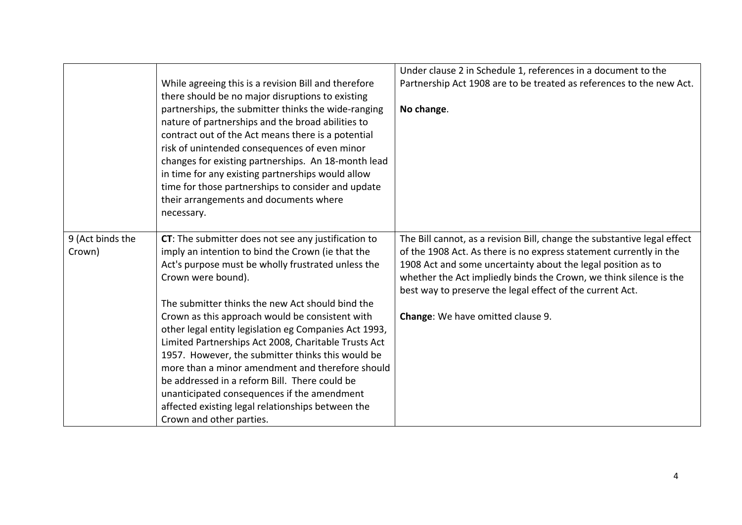|                            | While agreeing this is a revision Bill and therefore<br>there should be no major disruptions to existing<br>partnerships, the submitter thinks the wide-ranging<br>nature of partnerships and the broad abilities to<br>contract out of the Act means there is a potential<br>risk of unintended consequences of even minor<br>changes for existing partnerships. An 18-month lead<br>in time for any existing partnerships would allow<br>time for those partnerships to consider and update<br>their arrangements and documents where<br>necessary.                                                                                                                                                  | Under clause 2 in Schedule 1, references in a document to the<br>Partnership Act 1908 are to be treated as references to the new Act.<br>No change.                                                                                                                                                                                                                                    |
|----------------------------|--------------------------------------------------------------------------------------------------------------------------------------------------------------------------------------------------------------------------------------------------------------------------------------------------------------------------------------------------------------------------------------------------------------------------------------------------------------------------------------------------------------------------------------------------------------------------------------------------------------------------------------------------------------------------------------------------------|----------------------------------------------------------------------------------------------------------------------------------------------------------------------------------------------------------------------------------------------------------------------------------------------------------------------------------------------------------------------------------------|
| 9 (Act binds the<br>Crown) | CT: The submitter does not see any justification to<br>imply an intention to bind the Crown (ie that the<br>Act's purpose must be wholly frustrated unless the<br>Crown were bound).<br>The submitter thinks the new Act should bind the<br>Crown as this approach would be consistent with<br>other legal entity legislation eg Companies Act 1993,<br>Limited Partnerships Act 2008, Charitable Trusts Act<br>1957. However, the submitter thinks this would be<br>more than a minor amendment and therefore should<br>be addressed in a reform Bill. There could be<br>unanticipated consequences if the amendment<br>affected existing legal relationships between the<br>Crown and other parties. | The Bill cannot, as a revision Bill, change the substantive legal effect<br>of the 1908 Act. As there is no express statement currently in the<br>1908 Act and some uncertainty about the legal position as to<br>whether the Act impliedly binds the Crown, we think silence is the<br>best way to preserve the legal effect of the current Act.<br>Change: We have omitted clause 9. |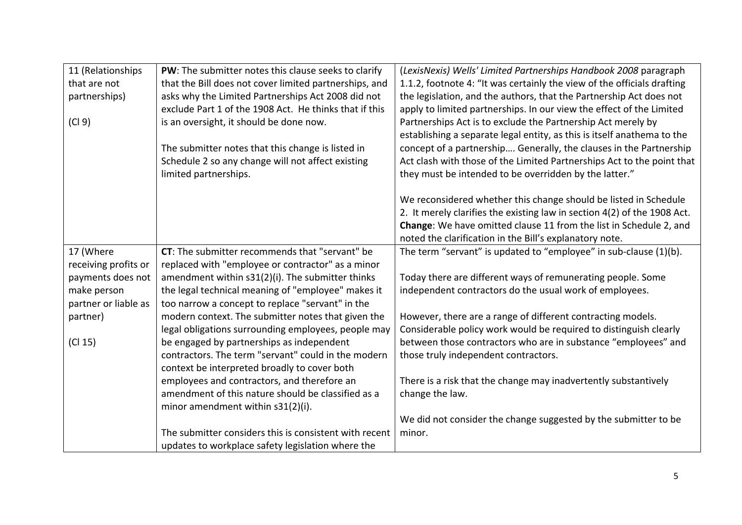| 11 (Relationships    | PW: The submitter notes this clause seeks to clarify   | (LexisNexis) Wells' Limited Partnerships Handbook 2008 paragraph         |
|----------------------|--------------------------------------------------------|--------------------------------------------------------------------------|
| that are not         | that the Bill does not cover limited partnerships, and | 1.1.2, footnote 4: "It was certainly the view of the officials drafting  |
| partnerships)        | asks why the Limited Partnerships Act 2008 did not     | the legislation, and the authors, that the Partnership Act does not      |
|                      | exclude Part 1 of the 1908 Act. He thinks that if this | apply to limited partnerships. In our view the effect of the Limited     |
| (Cl 9)               | is an oversight, it should be done now.                | Partnerships Act is to exclude the Partnership Act merely by             |
|                      |                                                        | establishing a separate legal entity, as this is itself anathema to the  |
|                      | The submitter notes that this change is listed in      | concept of a partnership Generally, the clauses in the Partnership       |
|                      | Schedule 2 so any change will not affect existing      | Act clash with those of the Limited Partnerships Act to the point that   |
|                      | limited partnerships.                                  | they must be intended to be overridden by the latter."                   |
|                      |                                                        |                                                                          |
|                      |                                                        | We reconsidered whether this change should be listed in Schedule         |
|                      |                                                        | 2. It merely clarifies the existing law in section 4(2) of the 1908 Act. |
|                      |                                                        | Change: We have omitted clause 11 from the list in Schedule 2, and       |
|                      |                                                        | noted the clarification in the Bill's explanatory note.                  |
| 17 (Where            | CT: The submitter recommends that "servant" be         | The term "servant" is updated to "employee" in sub-clause (1)(b).        |
| receiving profits or | replaced with "employee or contractor" as a minor      |                                                                          |
| payments does not    | amendment within s31(2)(i). The submitter thinks       | Today there are different ways of remunerating people. Some              |
| make person          | the legal technical meaning of "employee" makes it     | independent contractors do the usual work of employees.                  |
| partner or liable as | too narrow a concept to replace "servant" in the       |                                                                          |
| partner)             | modern context. The submitter notes that given the     | However, there are a range of different contracting models.              |
|                      | legal obligations surrounding employees, people may    | Considerable policy work would be required to distinguish clearly        |
| (Cl 15)              | be engaged by partnerships as independent              | between those contractors who are in substance "employees" and           |
|                      | contractors. The term "servant" could in the modern    | those truly independent contractors.                                     |
|                      | context be interpreted broadly to cover both           |                                                                          |
|                      | employees and contractors, and therefore an            | There is a risk that the change may inadvertently substantively          |
|                      | amendment of this nature should be classified as a     | change the law.                                                          |
|                      | minor amendment within s31(2)(i).                      |                                                                          |
|                      |                                                        | We did not consider the change suggested by the submitter to be          |
|                      | The submitter considers this is consistent with recent | minor.                                                                   |
|                      | updates to workplace safety legislation where the      |                                                                          |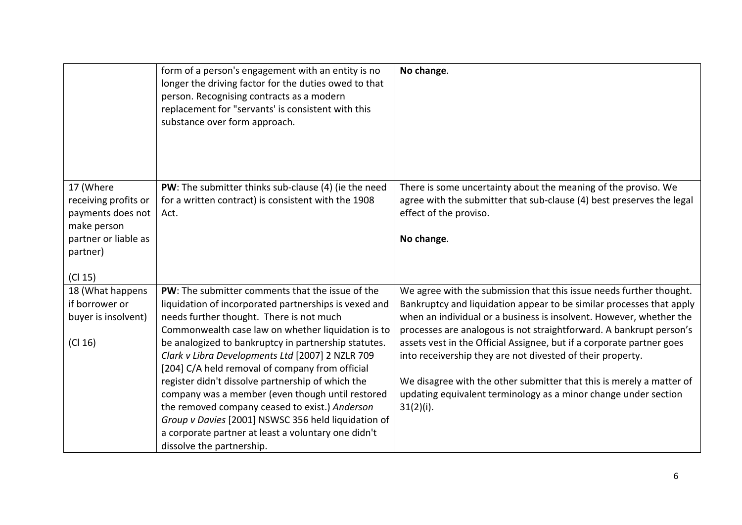|                                                                       | form of a person's engagement with an entity is no<br>longer the driving factor for the duties owed to that<br>person. Recognising contracts as a modern<br>replacement for "servants' is consistent with this<br>substance over form approach. | No change.                                                                                                                                                        |
|-----------------------------------------------------------------------|-------------------------------------------------------------------------------------------------------------------------------------------------------------------------------------------------------------------------------------------------|-------------------------------------------------------------------------------------------------------------------------------------------------------------------|
| 17 (Where<br>receiving profits or<br>payments does not<br>make person | PW: The submitter thinks sub-clause (4) (ie the need<br>for a written contract) is consistent with the 1908<br>Act.                                                                                                                             | There is some uncertainty about the meaning of the proviso. We<br>agree with the submitter that sub-clause (4) best preserves the legal<br>effect of the proviso. |
| partner or liable as<br>partner)                                      |                                                                                                                                                                                                                                                 | No change.                                                                                                                                                        |
| (Cl 15)                                                               |                                                                                                                                                                                                                                                 |                                                                                                                                                                   |
| 18 (What happens                                                      | PW: The submitter comments that the issue of the                                                                                                                                                                                                | We agree with the submission that this issue needs further thought.                                                                                               |
| if borrower or                                                        | liquidation of incorporated partnerships is vexed and                                                                                                                                                                                           | Bankruptcy and liquidation appear to be similar processes that apply                                                                                              |
| buyer is insolvent)                                                   | needs further thought. There is not much<br>Commonwealth case law on whether liquidation is to                                                                                                                                                  | when an individual or a business is insolvent. However, whether the<br>processes are analogous is not straightforward. A bankrupt person's                        |
| (Cl 16)                                                               | be analogized to bankruptcy in partnership statutes.                                                                                                                                                                                            | assets vest in the Official Assignee, but if a corporate partner goes                                                                                             |
|                                                                       | Clark v Libra Developments Ltd [2007] 2 NZLR 709                                                                                                                                                                                                | into receivership they are not divested of their property.                                                                                                        |
|                                                                       | [204] C/A held removal of company from official                                                                                                                                                                                                 |                                                                                                                                                                   |
|                                                                       | register didn't dissolve partnership of which the                                                                                                                                                                                               | We disagree with the other submitter that this is merely a matter of<br>updating equivalent terminology as a minor change under section                           |
|                                                                       | company was a member (even though until restored<br>the removed company ceased to exist.) Anderson                                                                                                                                              | $31(2)(i)$ .                                                                                                                                                      |
|                                                                       | Group v Davies [2001] NSWSC 356 held liquidation of                                                                                                                                                                                             |                                                                                                                                                                   |
|                                                                       | a corporate partner at least a voluntary one didn't                                                                                                                                                                                             |                                                                                                                                                                   |
|                                                                       | dissolve the partnership.                                                                                                                                                                                                                       |                                                                                                                                                                   |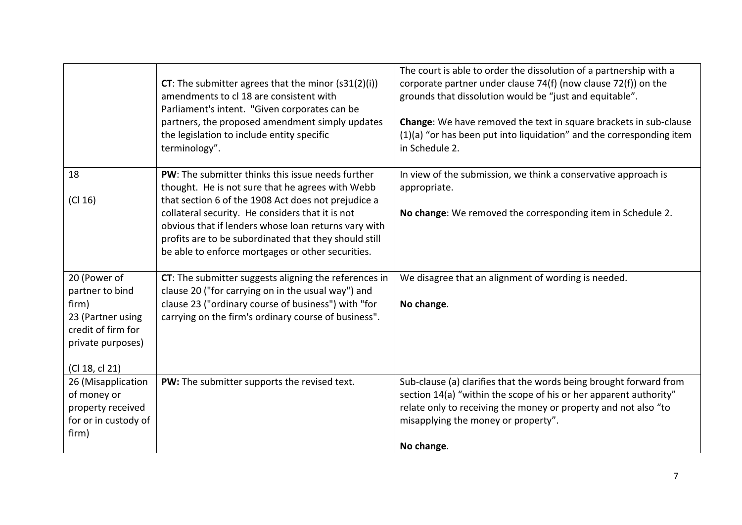|                                           | CT: The submitter agrees that the minor (s31(2)(i))<br>amendments to cl 18 are consistent with<br>Parliament's intent. "Given corporates can be<br>partners, the proposed amendment simply updates<br>the legislation to include entity specific<br>terminology".             | The court is able to order the dissolution of a partnership with a<br>corporate partner under clause 74(f) (now clause 72(f)) on the<br>grounds that dissolution would be "just and equitable".<br>Change: We have removed the text in square brackets in sub-clause<br>(1)(a) "or has been put into liquidation" and the corresponding item<br>in Schedule 2. |
|-------------------------------------------|-------------------------------------------------------------------------------------------------------------------------------------------------------------------------------------------------------------------------------------------------------------------------------|----------------------------------------------------------------------------------------------------------------------------------------------------------------------------------------------------------------------------------------------------------------------------------------------------------------------------------------------------------------|
| 18                                        | PW: The submitter thinks this issue needs further<br>thought. He is not sure that he agrees with Webb                                                                                                                                                                         | In view of the submission, we think a conservative approach is<br>appropriate.                                                                                                                                                                                                                                                                                 |
| (Cl 16)                                   | that section 6 of the 1908 Act does not prejudice a<br>collateral security. He considers that it is not<br>obvious that if lenders whose loan returns vary with<br>profits are to be subordinated that they should still<br>be able to enforce mortgages or other securities. | No change: We removed the corresponding item in Schedule 2.                                                                                                                                                                                                                                                                                                    |
| 20 (Power of<br>partner to bind           | CT: The submitter suggests aligning the references in<br>clause 20 ("for carrying on in the usual way") and                                                                                                                                                                   | We disagree that an alignment of wording is needed.                                                                                                                                                                                                                                                                                                            |
| firm)                                     | clause 23 ("ordinary course of business") with "for                                                                                                                                                                                                                           | No change.                                                                                                                                                                                                                                                                                                                                                     |
| 23 (Partner using                         | carrying on the firm's ordinary course of business".                                                                                                                                                                                                                          |                                                                                                                                                                                                                                                                                                                                                                |
| credit of firm for<br>private purposes)   |                                                                                                                                                                                                                                                                               |                                                                                                                                                                                                                                                                                                                                                                |
|                                           |                                                                                                                                                                                                                                                                               |                                                                                                                                                                                                                                                                                                                                                                |
| (Cl 18, cl 21)                            |                                                                                                                                                                                                                                                                               |                                                                                                                                                                                                                                                                                                                                                                |
| 26 (Misapplication                        | PW: The submitter supports the revised text.                                                                                                                                                                                                                                  | Sub-clause (a) clarifies that the words being brought forward from                                                                                                                                                                                                                                                                                             |
| of money or                               |                                                                                                                                                                                                                                                                               | section 14(a) "within the scope of his or her apparent authority"                                                                                                                                                                                                                                                                                              |
| property received<br>for or in custody of |                                                                                                                                                                                                                                                                               | relate only to receiving the money or property and not also "to                                                                                                                                                                                                                                                                                                |
| firm)                                     |                                                                                                                                                                                                                                                                               | misapplying the money or property".                                                                                                                                                                                                                                                                                                                            |
|                                           |                                                                                                                                                                                                                                                                               | No change.                                                                                                                                                                                                                                                                                                                                                     |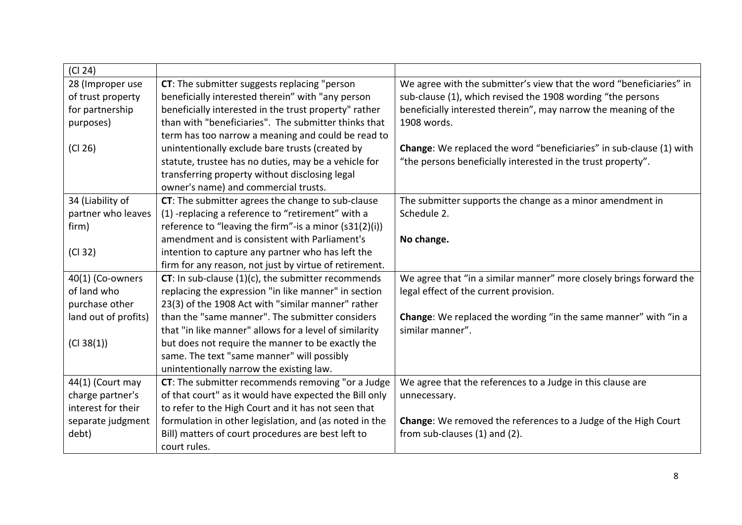| (Cl 24)              |                                                        |                                                                     |
|----------------------|--------------------------------------------------------|---------------------------------------------------------------------|
| 28 (Improper use     | CT: The submitter suggests replacing "person           | We agree with the submitter's view that the word "beneficiaries" in |
| of trust property    | beneficially interested therein" with "any person      | sub-clause (1), which revised the 1908 wording "the persons         |
| for partnership      | beneficially interested in the trust property" rather  | beneficially interested therein", may narrow the meaning of the     |
| purposes)            | than with "beneficiaries". The submitter thinks that   | 1908 words.                                                         |
|                      | term has too narrow a meaning and could be read to     |                                                                     |
| (Cl 26)              | unintentionally exclude bare trusts (created by        | Change: We replaced the word "beneficiaries" in sub-clause (1) with |
|                      | statute, trustee has no duties, may be a vehicle for   | "the persons beneficially interested in the trust property".        |
|                      | transferring property without disclosing legal         |                                                                     |
|                      | owner's name) and commercial trusts.                   |                                                                     |
| 34 (Liability of     | CT: The submitter agrees the change to sub-clause      | The submitter supports the change as a minor amendment in           |
| partner who leaves   | (1) -replacing a reference to "retirement" with a      | Schedule 2.                                                         |
| firm)                | reference to "leaving the firm"-is a minor (s31(2)(i)) |                                                                     |
|                      | amendment and is consistent with Parliament's          | No change.                                                          |
| (Cl 32)              | intention to capture any partner who has left the      |                                                                     |
|                      | firm for any reason, not just by virtue of retirement. |                                                                     |
| 40(1) (Co-owners     | CT: In sub-clause $(1)(c)$ , the submitter recommends  | We agree that "in a similar manner" more closely brings forward the |
| of land who          | replacing the expression "in like manner" in section   | legal effect of the current provision.                              |
| purchase other       | 23(3) of the 1908 Act with "similar manner" rather     |                                                                     |
| land out of profits) | than the "same manner". The submitter considers        | Change: We replaced the wording "in the same manner" with "in a     |
|                      | that "in like manner" allows for a level of similarity | similar manner".                                                    |
| (Cl 38(1))           | but does not require the manner to be exactly the      |                                                                     |
|                      | same. The text "same manner" will possibly             |                                                                     |
|                      | unintentionally narrow the existing law.               |                                                                     |
| 44(1) (Court may     | CT: The submitter recommends removing "or a Judge      | We agree that the references to a Judge in this clause are          |
| charge partner's     | of that court" as it would have expected the Bill only | unnecessary.                                                        |
| interest for their   | to refer to the High Court and it has not seen that    |                                                                     |
| separate judgment    | formulation in other legislation, and (as noted in the | Change: We removed the references to a Judge of the High Court      |
| debt)                | Bill) matters of court procedures are best left to     | from sub-clauses (1) and (2).                                       |
|                      | court rules.                                           |                                                                     |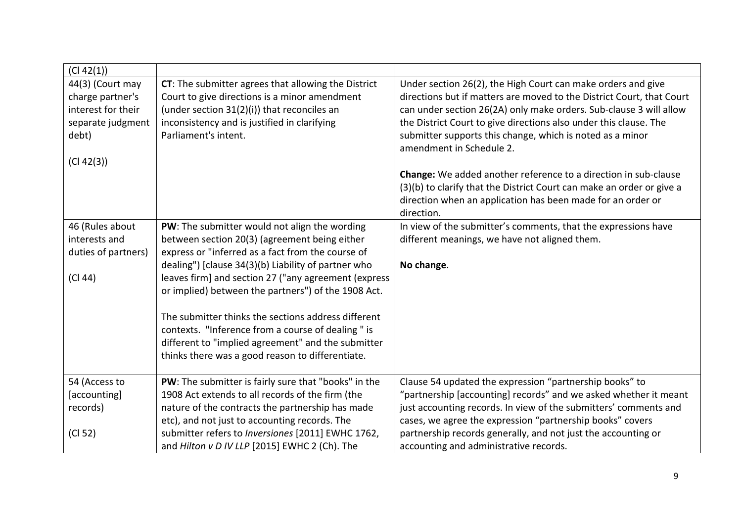| (Cl 42(1))                                                                                             |                                                                                                                                                                                                                             |                                                                                                                                                                                                                                                                                                                                                                                                                                                                                                                                                                                      |
|--------------------------------------------------------------------------------------------------------|-----------------------------------------------------------------------------------------------------------------------------------------------------------------------------------------------------------------------------|--------------------------------------------------------------------------------------------------------------------------------------------------------------------------------------------------------------------------------------------------------------------------------------------------------------------------------------------------------------------------------------------------------------------------------------------------------------------------------------------------------------------------------------------------------------------------------------|
| 44(3) (Court may<br>charge partner's<br>interest for their<br>separate judgment<br>debt)<br>(Cl 42(3)) | CT: The submitter agrees that allowing the District<br>Court to give directions is a minor amendment<br>(under section 31(2)(i)) that reconciles an<br>inconsistency and is justified in clarifying<br>Parliament's intent. | Under section 26(2), the High Court can make orders and give<br>directions but if matters are moved to the District Court, that Court<br>can under section 26(2A) only make orders. Sub-clause 3 will allow<br>the District Court to give directions also under this clause. The<br>submitter supports this change, which is noted as a minor<br>amendment in Schedule 2.<br>Change: We added another reference to a direction in sub-clause<br>(3)(b) to clarify that the District Court can make an order or give a<br>direction when an application has been made for an order or |
| 46 (Rules about                                                                                        | PW: The submitter would not align the wording                                                                                                                                                                               | direction.<br>In view of the submitter's comments, that the expressions have                                                                                                                                                                                                                                                                                                                                                                                                                                                                                                         |
| interests and                                                                                          | between section 20(3) (agreement being either                                                                                                                                                                               | different meanings, we have not aligned them.                                                                                                                                                                                                                                                                                                                                                                                                                                                                                                                                        |
| duties of partners)                                                                                    | express or "inferred as a fact from the course of                                                                                                                                                                           |                                                                                                                                                                                                                                                                                                                                                                                                                                                                                                                                                                                      |
|                                                                                                        | dealing") [clause 34(3)(b) Liability of partner who                                                                                                                                                                         | No change.                                                                                                                                                                                                                                                                                                                                                                                                                                                                                                                                                                           |
| (Cl 44)                                                                                                | leaves firm] and section 27 ("any agreement (express<br>or implied) between the partners") of the 1908 Act.                                                                                                                 |                                                                                                                                                                                                                                                                                                                                                                                                                                                                                                                                                                                      |
|                                                                                                        | The submitter thinks the sections address different                                                                                                                                                                         |                                                                                                                                                                                                                                                                                                                                                                                                                                                                                                                                                                                      |
|                                                                                                        | contexts. "Inference from a course of dealing" is                                                                                                                                                                           |                                                                                                                                                                                                                                                                                                                                                                                                                                                                                                                                                                                      |
|                                                                                                        | different to "implied agreement" and the submitter<br>thinks there was a good reason to differentiate.                                                                                                                      |                                                                                                                                                                                                                                                                                                                                                                                                                                                                                                                                                                                      |
|                                                                                                        |                                                                                                                                                                                                                             |                                                                                                                                                                                                                                                                                                                                                                                                                                                                                                                                                                                      |
| 54 (Access to                                                                                          | PW: The submitter is fairly sure that "books" in the                                                                                                                                                                        | Clause 54 updated the expression "partnership books" to                                                                                                                                                                                                                                                                                                                                                                                                                                                                                                                              |
| [accounting]                                                                                           | 1908 Act extends to all records of the firm (the                                                                                                                                                                            | "partnership [accounting] records" and we asked whether it meant                                                                                                                                                                                                                                                                                                                                                                                                                                                                                                                     |
| records)                                                                                               | nature of the contracts the partnership has made                                                                                                                                                                            | just accounting records. In view of the submitters' comments and                                                                                                                                                                                                                                                                                                                                                                                                                                                                                                                     |
|                                                                                                        | etc), and not just to accounting records. The                                                                                                                                                                               | cases, we agree the expression "partnership books" covers                                                                                                                                                                                                                                                                                                                                                                                                                                                                                                                            |
| (Cl 52)                                                                                                | submitter refers to Inversiones [2011] EWHC 1762,                                                                                                                                                                           | partnership records generally, and not just the accounting or                                                                                                                                                                                                                                                                                                                                                                                                                                                                                                                        |
|                                                                                                        | and Hilton v D IV LLP [2015] EWHC 2 (Ch). The                                                                                                                                                                               | accounting and administrative records.                                                                                                                                                                                                                                                                                                                                                                                                                                                                                                                                               |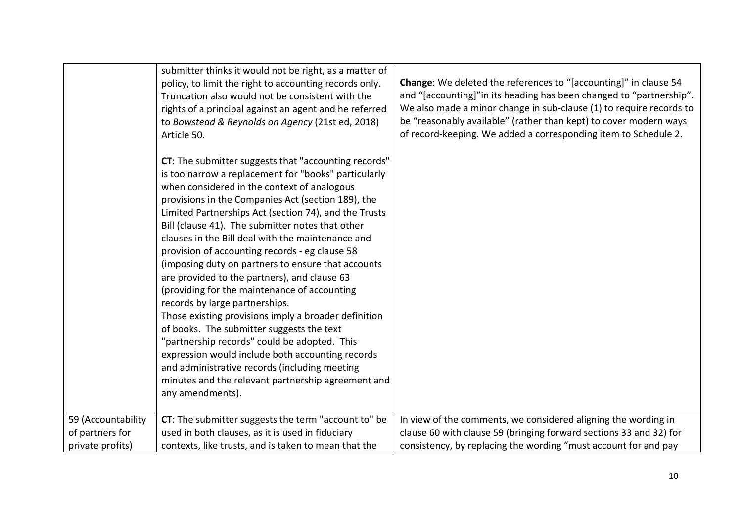|                    | CT: The submitter suggests that "accounting records"<br>is too narrow a replacement for "books" particularly<br>when considered in the context of analogous<br>provisions in the Companies Act (section 189), the<br>Limited Partnerships Act (section 74), and the Trusts<br>Bill (clause 41). The submitter notes that other<br>clauses in the Bill deal with the maintenance and<br>provision of accounting records - eg clause 58<br>(imposing duty on partners to ensure that accounts<br>are provided to the partners), and clause 63<br>(providing for the maintenance of accounting<br>records by large partnerships.<br>Those existing provisions imply a broader definition<br>of books. The submitter suggests the text<br>"partnership records" could be adopted. This<br>expression would include both accounting records<br>and administrative records (including meeting<br>minutes and the relevant partnership agreement and<br>any amendments). |                                                                    |
|--------------------|-------------------------------------------------------------------------------------------------------------------------------------------------------------------------------------------------------------------------------------------------------------------------------------------------------------------------------------------------------------------------------------------------------------------------------------------------------------------------------------------------------------------------------------------------------------------------------------------------------------------------------------------------------------------------------------------------------------------------------------------------------------------------------------------------------------------------------------------------------------------------------------------------------------------------------------------------------------------|--------------------------------------------------------------------|
| 59 (Accountability | CT: The submitter suggests the term "account to" be                                                                                                                                                                                                                                                                                                                                                                                                                                                                                                                                                                                                                                                                                                                                                                                                                                                                                                               | In view of the comments, we considered aligning the wording in     |
| of partners for    | used in both clauses, as it is used in fiduciary                                                                                                                                                                                                                                                                                                                                                                                                                                                                                                                                                                                                                                                                                                                                                                                                                                                                                                                  | clause 60 with clause 59 (bringing forward sections 33 and 32) for |
| private profits)   | contexts, like trusts, and is taken to mean that the                                                                                                                                                                                                                                                                                                                                                                                                                                                                                                                                                                                                                                                                                                                                                                                                                                                                                                              | consistency, by replacing the wording "must account for and pay    |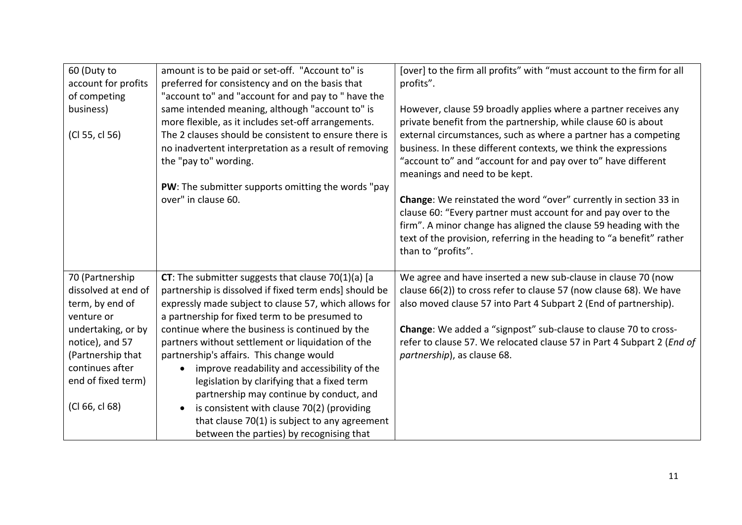| 60 (Duty to<br>account for profits<br>of competing<br>business)<br>(Cl 55, cl 56)                                                                                                                | amount is to be paid or set-off. "Account to" is<br>preferred for consistency and on the basis that<br>"account to" and "account for and pay to " have the<br>same intended meaning, although "account to" is<br>more flexible, as it includes set-off arrangements.<br>The 2 clauses should be consistent to ensure there is<br>no inadvertent interpretation as a result of removing<br>the "pay to" wording.<br>PW: The submitter supports omitting the words "pay<br>over" in clause 60.                                                                                                                                                                                     | [over] to the firm all profits" with "must account to the firm for all<br>profits".<br>However, clause 59 broadly applies where a partner receives any<br>private benefit from the partnership, while clause 60 is about<br>external circumstances, such as where a partner has a competing<br>business. In these different contexts, we think the expressions<br>"account to" and "account for and pay over to" have different<br>meanings and need to be kept.<br>Change: We reinstated the word "over" currently in section 33 in<br>clause 60: "Every partner must account for and pay over to the<br>firm". A minor change has aligned the clause 59 heading with the<br>text of the provision, referring in the heading to "a benefit" rather<br>than to "profits". |
|--------------------------------------------------------------------------------------------------------------------------------------------------------------------------------------------------|----------------------------------------------------------------------------------------------------------------------------------------------------------------------------------------------------------------------------------------------------------------------------------------------------------------------------------------------------------------------------------------------------------------------------------------------------------------------------------------------------------------------------------------------------------------------------------------------------------------------------------------------------------------------------------|---------------------------------------------------------------------------------------------------------------------------------------------------------------------------------------------------------------------------------------------------------------------------------------------------------------------------------------------------------------------------------------------------------------------------------------------------------------------------------------------------------------------------------------------------------------------------------------------------------------------------------------------------------------------------------------------------------------------------------------------------------------------------|
| 70 (Partnership<br>dissolved at end of<br>term, by end of<br>venture or<br>undertaking, or by<br>notice), and 57<br>(Partnership that<br>continues after<br>end of fixed term)<br>(CI 66, cI 68) | CT: The submitter suggests that clause $70(1)(a)$ [a<br>partnership is dissolved if fixed term ends] should be<br>expressly made subject to clause 57, which allows for<br>a partnership for fixed term to be presumed to<br>continue where the business is continued by the<br>partners without settlement or liquidation of the<br>partnership's affairs. This change would<br>improve readability and accessibility of the<br>legislation by clarifying that a fixed term<br>partnership may continue by conduct, and<br>is consistent with clause 70(2) (providing<br>$\bullet$<br>that clause 70(1) is subject to any agreement<br>between the parties) by recognising that | We agree and have inserted a new sub-clause in clause 70 (now<br>clause 66(2)) to cross refer to clause 57 (now clause 68). We have<br>also moved clause 57 into Part 4 Subpart 2 (End of partnership).<br><b>Change:</b> We added a "signpost" sub-clause to clause 70 to cross-<br>refer to clause 57. We relocated clause 57 in Part 4 Subpart 2 (End of<br>partnership), as clause 68.                                                                                                                                                                                                                                                                                                                                                                                |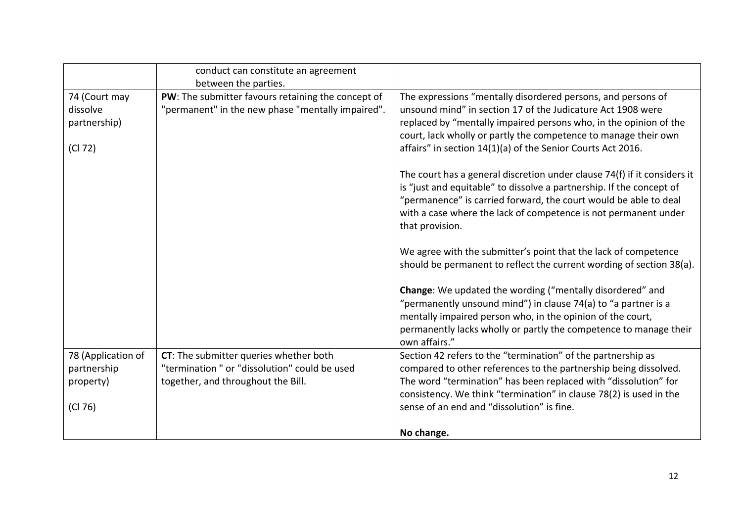|                                                           | conduct can constitute an agreement<br>between the parties.                                                                   |                                                                                                                                                                                                                                                                                                                                                                                                                                                                                                                                                                                                                                                  |
|-----------------------------------------------------------|-------------------------------------------------------------------------------------------------------------------------------|--------------------------------------------------------------------------------------------------------------------------------------------------------------------------------------------------------------------------------------------------------------------------------------------------------------------------------------------------------------------------------------------------------------------------------------------------------------------------------------------------------------------------------------------------------------------------------------------------------------------------------------------------|
| 74 (Court may<br>dissolve<br>partnership)<br>(Cl 72)      | PW: The submitter favours retaining the concept of<br>"permanent" in the new phase "mentally impaired".                       | The expressions "mentally disordered persons, and persons of<br>unsound mind" in section 17 of the Judicature Act 1908 were<br>replaced by "mentally impaired persons who, in the opinion of the<br>court, lack wholly or partly the competence to manage their own<br>affairs" in section 14(1)(a) of the Senior Courts Act 2016.<br>The court has a general discretion under clause 74(f) if it considers it<br>is "just and equitable" to dissolve a partnership. If the concept of<br>"permanence" is carried forward, the court would be able to deal<br>with a case where the lack of competence is not permanent under<br>that provision. |
|                                                           |                                                                                                                               | We agree with the submitter's point that the lack of competence<br>should be permanent to reflect the current wording of section 38(a).<br>Change: We updated the wording ("mentally disordered" and<br>"permanently unsound mind") in clause 74(a) to "a partner is a<br>mentally impaired person who, in the opinion of the court,<br>permanently lacks wholly or partly the competence to manage their<br>own affairs."                                                                                                                                                                                                                       |
| 78 (Application of<br>partnership<br>property)<br>(Cl 76) | CT: The submitter queries whether both<br>"termination " or "dissolution" could be used<br>together, and throughout the Bill. | Section 42 refers to the "termination" of the partnership as<br>compared to other references to the partnership being dissolved.<br>The word "termination" has been replaced with "dissolution" for<br>consistency. We think "termination" in clause 78(2) is used in the<br>sense of an end and "dissolution" is fine.                                                                                                                                                                                                                                                                                                                          |
|                                                           |                                                                                                                               | No change.                                                                                                                                                                                                                                                                                                                                                                                                                                                                                                                                                                                                                                       |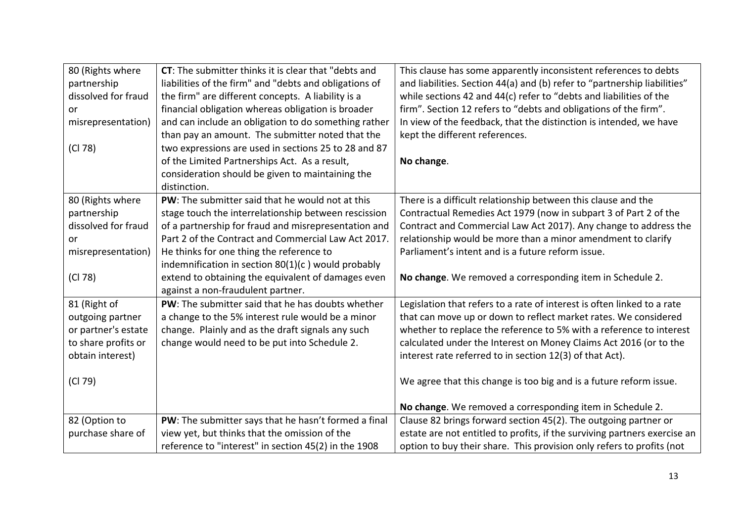| 80 (Rights where                   | CT: The submitter thinks it is clear that "debts and<br>liabilities of the firm" and "debts and obligations of | This clause has some apparently inconsistent references to debts<br>and liabilities. Section 44(a) and (b) refer to "partnership liabilities" |
|------------------------------------|----------------------------------------------------------------------------------------------------------------|-----------------------------------------------------------------------------------------------------------------------------------------------|
| partnership<br>dissolved for fraud |                                                                                                                |                                                                                                                                               |
|                                    | the firm" are different concepts. A liability is a                                                             | while sections 42 and 44(c) refer to "debts and liabilities of the                                                                            |
| or                                 | financial obligation whereas obligation is broader                                                             | firm". Section 12 refers to "debts and obligations of the firm".                                                                              |
| misrepresentation)                 | and can include an obligation to do something rather                                                           | In view of the feedback, that the distinction is intended, we have                                                                            |
|                                    | than pay an amount. The submitter noted that the                                                               | kept the different references.                                                                                                                |
| (Cl 78)                            | two expressions are used in sections 25 to 28 and 87                                                           |                                                                                                                                               |
|                                    | of the Limited Partnerships Act. As a result,                                                                  | No change.                                                                                                                                    |
|                                    | consideration should be given to maintaining the                                                               |                                                                                                                                               |
|                                    | distinction.                                                                                                   |                                                                                                                                               |
| 80 (Rights where                   | <b>PW:</b> The submitter said that he would not at this                                                        | There is a difficult relationship between this clause and the                                                                                 |
| partnership                        | stage touch the interrelationship between rescission                                                           | Contractual Remedies Act 1979 (now in subpart 3 of Part 2 of the                                                                              |
| dissolved for fraud                | of a partnership for fraud and misrepresentation and                                                           | Contract and Commercial Law Act 2017). Any change to address the                                                                              |
| or                                 | Part 2 of the Contract and Commercial Law Act 2017.                                                            | relationship would be more than a minor amendment to clarify                                                                                  |
| misrepresentation)                 | He thinks for one thing the reference to                                                                       | Parliament's intent and is a future reform issue.                                                                                             |
|                                    | indemnification in section $80(1)(c)$ would probably                                                           |                                                                                                                                               |
| (Cl 78)                            | extend to obtaining the equivalent of damages even                                                             | No change. We removed a corresponding item in Schedule 2.                                                                                     |
|                                    | against a non-fraudulent partner.                                                                              |                                                                                                                                               |
| 81 (Right of                       | PW: The submitter said that he has doubts whether                                                              | Legislation that refers to a rate of interest is often linked to a rate                                                                       |
| outgoing partner                   | a change to the 5% interest rule would be a minor                                                              | that can move up or down to reflect market rates. We considered                                                                               |
| or partner's estate                | change. Plainly and as the draft signals any such                                                              | whether to replace the reference to 5% with a reference to interest                                                                           |
| to share profits or                | change would need to be put into Schedule 2.                                                                   | calculated under the Interest on Money Claims Act 2016 (or to the                                                                             |
| obtain interest)                   |                                                                                                                | interest rate referred to in section 12(3) of that Act).                                                                                      |
|                                    |                                                                                                                |                                                                                                                                               |
| (Cl 79)                            |                                                                                                                | We agree that this change is too big and is a future reform issue.                                                                            |
|                                    |                                                                                                                |                                                                                                                                               |
|                                    |                                                                                                                | No change. We removed a corresponding item in Schedule 2.                                                                                     |
| 82 (Option to                      | PW: The submitter says that he hasn't formed a final                                                           | Clause 82 brings forward section 45(2). The outgoing partner or                                                                               |
| purchase share of                  | view yet, but thinks that the omission of the                                                                  | estate are not entitled to profits, if the surviving partners exercise an                                                                     |
|                                    | reference to "interest" in section 45(2) in the 1908                                                           | option to buy their share. This provision only refers to profits (not                                                                         |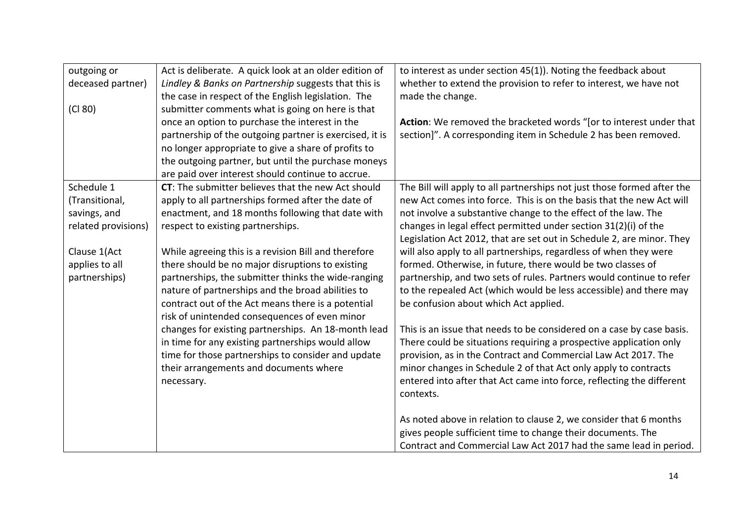| outgoing or         | Act is deliberate. A quick look at an older edition of    | to interest as under section 45(1)). Noting the feedback about          |
|---------------------|-----------------------------------------------------------|-------------------------------------------------------------------------|
| deceased partner)   | Lindley & Banks on Partnership suggests that this is      | whether to extend the provision to refer to interest, we have not       |
|                     | the case in respect of the English legislation. The       | made the change.                                                        |
| (Cl 80)             | submitter comments what is going on here is that          |                                                                         |
|                     | once an option to purchase the interest in the            | Action: We removed the bracketed words "[or to interest under that      |
|                     | partnership of the outgoing partner is exercised, it is   | section]". A corresponding item in Schedule 2 has been removed.         |
|                     | no longer appropriate to give a share of profits to       |                                                                         |
|                     | the outgoing partner, but until the purchase moneys       |                                                                         |
|                     | are paid over interest should continue to accrue.         |                                                                         |
| Schedule 1          | <b>CT:</b> The submitter believes that the new Act should | The Bill will apply to all partnerships not just those formed after the |
| (Transitional,      | apply to all partnerships formed after the date of        | new Act comes into force. This is on the basis that the new Act will    |
| savings, and        | enactment, and 18 months following that date with         | not involve a substantive change to the effect of the law. The          |
| related provisions) | respect to existing partnerships.                         | changes in legal effect permitted under section 31(2)(i) of the         |
|                     |                                                           | Legislation Act 2012, that are set out in Schedule 2, are minor. They   |
| Clause 1(Act        | While agreeing this is a revision Bill and therefore      | will also apply to all partnerships, regardless of when they were       |
| applies to all      | there should be no major disruptions to existing          | formed. Otherwise, in future, there would be two classes of             |
| partnerships)       | partnerships, the submitter thinks the wide-ranging       | partnership, and two sets of rules. Partners would continue to refer    |
|                     | nature of partnerships and the broad abilities to         | to the repealed Act (which would be less accessible) and there may      |
|                     | contract out of the Act means there is a potential        | be confusion about which Act applied.                                   |
|                     | risk of unintended consequences of even minor             |                                                                         |
|                     | changes for existing partnerships. An 18-month lead       | This is an issue that needs to be considered on a case by case basis.   |
|                     | in time for any existing partnerships would allow         | There could be situations requiring a prospective application only      |
|                     | time for those partnerships to consider and update        | provision, as in the Contract and Commercial Law Act 2017. The          |
|                     | their arrangements and documents where                    | minor changes in Schedule 2 of that Act only apply to contracts         |
|                     | necessary.                                                | entered into after that Act came into force, reflecting the different   |
|                     |                                                           | contexts.                                                               |
|                     |                                                           |                                                                         |
|                     |                                                           | As noted above in relation to clause 2, we consider that 6 months       |
|                     |                                                           | gives people sufficient time to change their documents. The             |
|                     |                                                           | Contract and Commercial Law Act 2017 had the same lead in period.       |